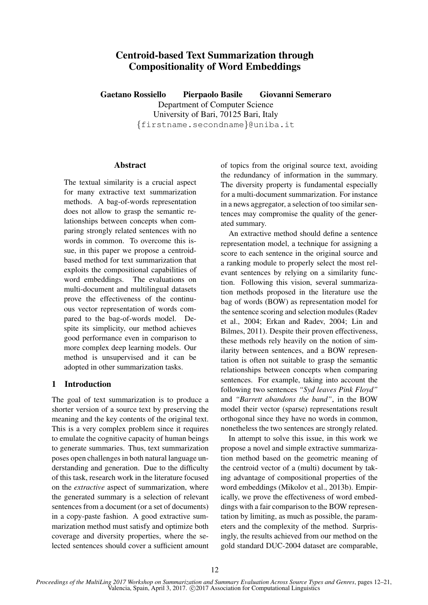# Centroid-based Text Summarization through Compositionality of Word Embeddings

Gaetano Rossiello Pierpaolo Basile Giovanni Semeraro Department of Computer Science University of Bari, 70125 Bari, Italy {firstname.secondname}@uniba.it

### **Abstract**

The textual similarity is a crucial aspect for many extractive text summarization methods. A bag-of-words representation does not allow to grasp the semantic relationships between concepts when comparing strongly related sentences with no words in common. To overcome this issue, in this paper we propose a centroidbased method for text summarization that exploits the compositional capabilities of word embeddings. The evaluations on multi-document and multilingual datasets prove the effectiveness of the continuous vector representation of words compared to the bag-of-words model. Despite its simplicity, our method achieves good performance even in comparison to more complex deep learning models. Our method is unsupervised and it can be adopted in other summarization tasks.

# 1 Introduction

The goal of text summarization is to produce a shorter version of a source text by preserving the meaning and the key contents of the original text. This is a very complex problem since it requires to emulate the cognitive capacity of human beings to generate summaries. Thus, text summarization poses open challenges in both natural language understanding and generation. Due to the difficulty of this task, research work in the literature focused on the *extractive* aspect of summarization, where the generated summary is a selection of relevant sentences from a document (or a set of documents) in a copy-paste fashion. A good extractive summarization method must satisfy and optimize both coverage and diversity properties, where the selected sentences should cover a sufficient amount of topics from the original source text, avoiding the redundancy of information in the summary. The diversity property is fundamental especially for a multi-document summarization. For instance in a news aggregator, a selection of too similar sentences may compromise the quality of the generated summary.

An extractive method should define a sentence representation model, a technique for assigning a score to each sentence in the original source and a ranking module to properly select the most relevant sentences by relying on a similarity function. Following this vision, several summarization methods proposed in the literature use the bag of words (BOW) as representation model for the sentence scoring and selection modules (Radev et al., 2004; Erkan and Radev, 2004; Lin and Bilmes, 2011). Despite their proven effectiveness, these methods rely heavily on the notion of similarity between sentences, and a BOW representation is often not suitable to grasp the semantic relationships between concepts when comparing sentences. For example, taking into account the following two sentences *"Syd leaves Pink Floyd"* and *"Barrett abandons the band"*, in the BOW model their vector (sparse) representations result orthogonal since they have no words in common, nonetheless the two sentences are strongly related.

In attempt to solve this issue, in this work we propose a novel and simple extractive summarization method based on the geometric meaning of the centroid vector of a (multi) document by taking advantage of compositional properties of the word embeddings (Mikolov et al., 2013b). Empirically, we prove the effectiveness of word embeddings with a fair comparison to the BOW representation by limiting, as much as possible, the parameters and the complexity of the method. Surprisingly, the results achieved from our method on the gold standard DUC-2004 dataset are comparable,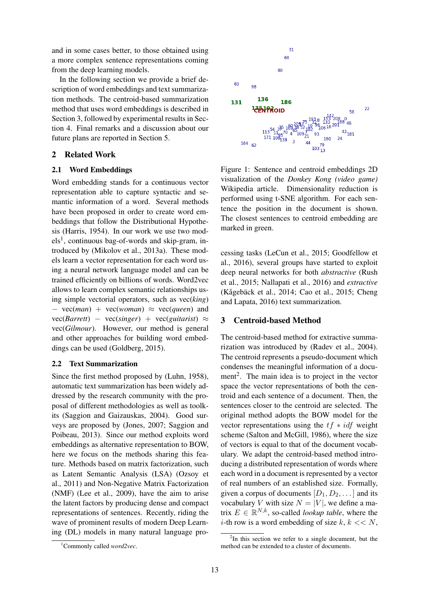and in some cases better, to those obtained using a more complex sentence representations coming from the deep learning models.

In the following section we provide a brief description of word embeddings and text summarization methods. The centroid-based summarization method that uses word embeddings is described in Section 3, followed by experimental results in Section 4. Final remarks and a discussion about our future plans are reported in Section 5.

# 2 Related Work

# 2.1 Word Embeddings

Word embedding stands for a continuous vector representation able to capture syntactic and semantic information of a word. Several methods have been proposed in order to create word embeddings that follow the Distributional Hypothesis (Harris, 1954). In our work we use two mod $els<sup>1</sup>$ , continuous bag-of-words and skip-gram, introduced by (Mikolov et al., 2013a). These models learn a vector representation for each word using a neural network language model and can be trained efficiently on billions of words. Word2vec allows to learn complex semantic relationships using simple vectorial operators, such as vec(*king*) − vec(*man*) + vec(*woman*) ≈ vec(*queen*) and  $vec(Barrett) - vec(singer) + vec(guitarist) \approx$ vec(*Gilmour*). However, our method is general and other approaches for building word embeddings can be used (Goldberg, 2015).

# 2.2 Text Summarization

Since the first method proposed by (Luhn, 1958), automatic text summarization has been widely addressed by the research community with the proposal of different methodologies as well as toolkits (Saggion and Gaizauskas, 2004). Good surveys are proposed by (Jones, 2007; Saggion and Poibeau, 2013). Since our method exploits word embeddings as alternative representation to BOW, here we focus on the methods sharing this feature. Methods based on matrix factorization, such as Latent Semantic Analysis (LSA) (Ozsoy et al., 2011) and Non-Negative Matrix Factorization (NMF) (Lee et al., 2009), have the aim to arise the latent factors by producing dense and compact representations of sentences. Recently, riding the wave of prominent results of modern Deep Learning (DL) models in many natural language pro-





Figure 1: Sentence and centroid embeddings 2D visualization of the *Donkey Kong (video game)* Wikipedia article. Dimensionality reduction is performed using t-SNE algorithm. For each sentence the position in the document is shown. The closest sentences to centroid embedding are marked in green.

cessing tasks (LeCun et al., 2015; Goodfellow et al., 2016), several groups have started to exploit deep neural networks for both *abstractive* (Rush et al., 2015; Nallapati et al., 2016) and *extractive* (Kågebäck et al., 2014; Cao et al., 2015; Cheng and Lapata, 2016) text summarization.

### 3 Centroid-based Method

The centroid-based method for extractive summarization was introduced by (Radev et al., 2004). The centroid represents a pseudo-document which condenses the meaningful information of a document<sup>2</sup>. The main idea is to project in the vector space the vector representations of both the centroid and each sentence of a document. Then, the sentences closer to the centroid are selected. The original method adopts the BOW model for the vector representations using the  $tf * idf$  weight scheme (Salton and McGill, 1986), where the size of vectors is equal to that of the document vocabulary. We adapt the centroid-based method introducing a distributed representation of words where each word in a document is represented by a vector of real numbers of an established size. Formally, given a corpus of documents  $[D_1, D_2, \dots]$  and its vocabulary V with size  $N = |V|$ , we define a matrix  $E \in \mathbb{R}^{N,k}$ , so-called *lookup table*, where the *i*-th row is a word embedding of size  $k, k \ll N$ ,

 $2$ In this section we refer to a single document, but the method can be extended to a cluster of documents.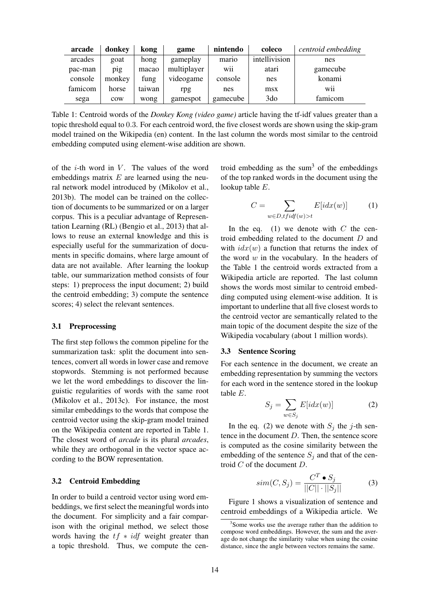| arcade  | donkey | kong   | game        | nintendo                         | coleco          | centroid embedding |
|---------|--------|--------|-------------|----------------------------------|-----------------|--------------------|
| arcades | goat   | hong   | gameplay    | mario                            | intellivision   | nes                |
| pac-man | pig    | macao  | multiplayer | $\cdot \cdot$<br>W <sub>11</sub> | atari           | gamecube           |
| console | monkey | fung   | videogame   | console                          | nes             | konami             |
| famicom | horse  | taiwan | rpg         | nes                              | msx             | . .<br>W11         |
| sega    | cow    | wong   | gamespot    | gamecube                         | 3 <sub>do</sub> | famicom            |

Table 1: Centroid words of the *Donkey Kong (video game)* article having the tf-idf values greater than a topic threshold equal to 0.3. For each centroid word, the five closest words are shown using the skip-gram model trained on the Wikipedia (en) content. In the last column the words most similar to the centroid embedding computed using element-wise addition are shown.

of the *i*-th word in  $V$ . The values of the word embeddings matrix  $E$  are learned using the neural network model introduced by (Mikolov et al., 2013b). The model can be trained on the collection of documents to be summarized or on a larger corpus. This is a peculiar advantage of Representation Learning (RL) (Bengio et al., 2013) that allows to reuse an external knowledge and this is especially useful for the summarization of documents in specific domains, where large amount of data are not available. After learning the lookup table, our summarization method consists of four steps: 1) preprocess the input document; 2) build the centroid embedding; 3) compute the sentence scores; 4) select the relevant sentences.

#### 3.1 Preprocessing

The first step follows the common pipeline for the summarization task: split the document into sentences, convert all words in lower case and remove stopwords. Stemming is not performed because we let the word embeddings to discover the linguistic regularities of words with the same root (Mikolov et al., 2013c). For instance, the most similar embeddings to the words that compose the centroid vector using the skip-gram model trained on the Wikipedia content are reported in Table 1. The closest word of *arcade* is its plural *arcades*, while they are orthogonal in the vector space according to the BOW representation.

#### 3.2 Centroid Embedding

In order to build a centroid vector using word embeddings, we first select the meaningful words into the document. For simplicity and a fair comparison with the original method, we select those words having the  $tf * idf$  weight greater than a topic threshold. Thus, we compute the centroid embedding as the sum $<sup>3</sup>$  of the embeddings</sup> of the top ranked words in the document using the lookup table E.

$$
C = \sum_{w \in D, t \text{fidf}(w) > t} E[i dx(w)] \tag{1}
$$

In the eq. (1) we denote with  $C$  the centroid embedding related to the document D and with  $idx(w)$  a function that returns the index of the word  $w$  in the vocabulary. In the headers of the Table 1 the centroid words extracted from a Wikipedia article are reported. The last column shows the words most similar to centroid embedding computed using element-wise addition. It is important to underline that all five closest words to the centroid vector are semantically related to the main topic of the document despite the size of the Wikipedia vocabulary (about 1 million words).

#### 3.3 Sentence Scoring

For each sentence in the document, we create an embedding representation by summing the vectors for each word in the sentence stored in the lookup table E.

$$
S_j = \sum_{w \in S_j} E[i dx(w)] \tag{2}
$$

In the eq. (2) we denote with  $S_j$  the j-th sentence in the document D. Then, the sentence score is computed as the cosine similarity between the embedding of the sentence  $S_i$  and that of the centroid C of the document D.

$$
sim(C, S_j) = \frac{C^T \bullet S_j}{||C|| \cdot ||S_j||}
$$
 (3)

Figure 1 shows a visualization of sentence and centroid embeddings of a Wikipedia article. We

<sup>&</sup>lt;sup>3</sup>Some works use the average rather than the addition to compose word embeddings. However, the sum and the average do not change the similarity value when using the cosine distance, since the angle between vectors remains the same.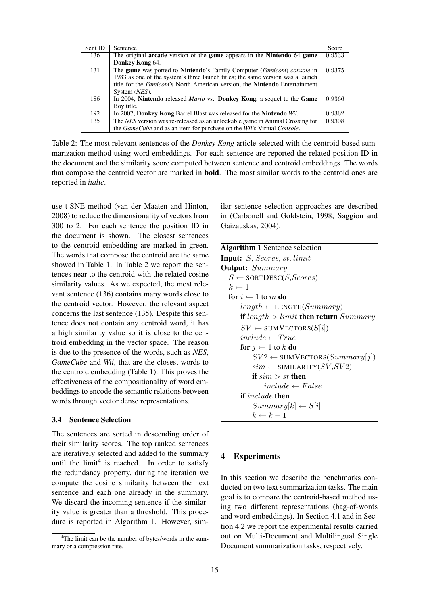| Sent ID | Sentence                                                                                       | Score  |
|---------|------------------------------------------------------------------------------------------------|--------|
| 136     | The original arcade version of the game appears in the Nintendo 64 game                        | 0.9533 |
|         | Donkey Kong 64.                                                                                |        |
| 131     | The <b>game</b> was ported to <b>Nintendo</b> 's Family Computer ( <i>Famicom</i> ) console in | 0.9375 |
|         | 1983 as one of the system's three launch titles; the same version was a launch                 |        |
|         | title for the <i>Famicom</i> 's North American version, the <b>Nintendo</b> Entertainment      |        |
|         | System ( <i>NES</i> ).                                                                         |        |
| 186     | In 2004, Nintendo released <i>Mario</i> vs. Donkey Kong, a sequel to the Game                  | 0.9366 |
|         | Boy title.                                                                                     |        |
| 192     | In 2007, Donkey Kong Barrel Blast was released for the Nintendo Wii.                           | 0.9362 |
| 135     | The NES version was re-released as an unlockable game in Animal Crossing for                   | 0.9308 |
|         | the GameCube and as an item for purchase on the Wii's Virtual Console.                         |        |

Table 2: The most relevant sentences of the *Donkey Kong* article selected with the centroid-based summarization method using word embeddings. For each sentence are reported the related position ID in the document and the similarity score computed between sentence and centroid embeddings. The words that compose the centroid vector are marked in bold. The most similar words to the centroid ones are reported in *italic*.

use t-SNE method (van der Maaten and Hinton, 2008) to reduce the dimensionality of vectors from 300 to 2. For each sentence the position ID in the document is shown. The closest sentences to the centroid embedding are marked in green. The words that compose the centroid are the same showed in Table 1. In Table 2 we report the sentences near to the centroid with the related cosine similarity values. As we expected, the most relevant sentence (136) contains many words close to the centroid vector. However, the relevant aspect concerns the last sentence (135). Despite this sentence does not contain any centroid word, it has a high similarity value so it is close to the centroid embedding in the vector space. The reason is due to the presence of the words, such as *NES*, *GameCube* and *Wii*, that are the closest words to the centroid embedding (Table 1). This proves the effectiveness of the compositionality of word embeddings to encode the semantic relations between words through vector dense representations.

# 3.4 Sentence Selection

The sentences are sorted in descending order of their similarity scores. The top ranked sentences are iteratively selected and added to the summary until the  $limit<sup>4</sup>$  is reached. In order to satisfy the redundancy property, during the iteration we compute the cosine similarity between the next sentence and each one already in the summary. We discard the incoming sentence if the similarity value is greater than a threshold. This procedure is reported in Algorithm 1. However, similar sentence selection approaches are described in (Carbonell and Goldstein, 1998; Saggion and Gaizauskas, 2004).

| <b>Algorithm 1</b> Sentence selection                 |
|-------------------------------------------------------|
| Input: S, Scores, st, limit                           |
| <b>Output:</b> Summary                                |
| $S \leftarrow$ SORTDESC( <i>S</i> , <i>Scores</i> )   |
| $k \leftarrow 1$                                      |
| for $i \leftarrow 1$ to m do                          |
| $length \leftarrow$ LENGTH( $Summary$ )               |
| <b>if</b> length $>$ limit <b>then return</b> Summary |
| $SV \leftarrow$ SUMVECTORS(S[i])                      |
| $include \leftarrow True$                             |
| <b>for</b> $j \leftarrow 1$ to k <b>do</b>            |
| $SV2 \leftarrow \text{SUMVECTORS}(Summary[j])$        |
| $sim \leftarrow$ SIMILARITY( $SV$ , $SV2$ )           |
| if $sim > st$ then                                    |
| $include \leftarrow False$                            |
| <b>if</b> include <b>then</b>                         |
| $Summary[k] \leftarrow S[i]$                          |
| $k \leftarrow k+1$                                    |

### 4 Experiments

In this section we describe the benchmarks conducted on two text summarization tasks. The main goal is to compare the centroid-based method using two different representations (bag-of-words and word embeddings). In Section 4.1 and in Section 4.2 we report the experimental results carried out on Multi-Document and Multilingual Single Document summarization tasks, respectively.

<sup>&</sup>lt;sup>4</sup>The limit can be the number of bytes/words in the summary or a compression rate.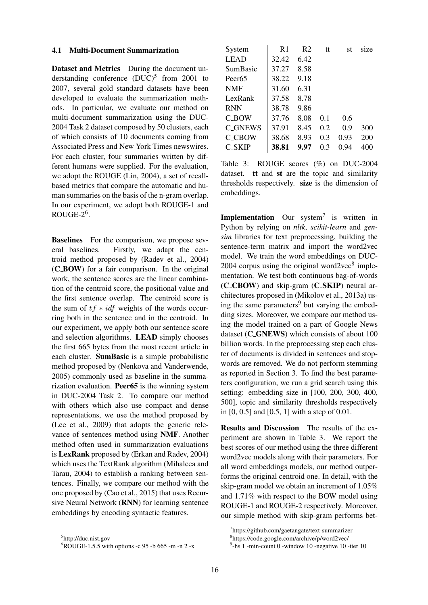### 4.1 Multi-Document Summarization

Dataset and Metrics During the document understanding conference  $(DUC)^5$  from 2001 to 2007, several gold standard datasets have been developed to evaluate the summarization methods. In particular, we evaluate our method on multi-document summarization using the DUC-2004 Task 2 dataset composed by 50 clusters, each of which consists of 10 documents coming from Associated Press and New York Times newswires. For each cluster, four summaries written by different humans were supplied. For the evaluation, we adopt the ROUGE (Lin, 2004), a set of recallbased metrics that compare the automatic and human summaries on the basis of the n-gram overlap. In our experiment, we adopt both ROUGE-1 and  $ROUGE-2<sup>6</sup>$ .

Baselines For the comparison, we propose several baselines. Firstly, we adapt the centroid method proposed by (Radev et al., 2004) (C BOW) for a fair comparison. In the original work, the sentence scores are the linear combination of the centroid score, the positional value and the first sentence overlap. The centroid score is the sum of  $tf * idf$  weights of the words occurring both in the sentence and in the centroid. In our experiment, we apply both our sentence score and selection algorithms. LEAD simply chooses the first 665 bytes from the most recent article in each cluster. SumBasic is a simple probabilistic method proposed by (Nenkova and Vanderwende, 2005) commonly used as baseline in the summarization evaluation. Peer65 is the winning system in DUC-2004 Task 2. To compare our method with others which also use compact and dense representations, we use the method proposed by (Lee et al., 2009) that adopts the generic relevance of sentences method using NMF. Another method often used in summarization evaluations is LexRank proposed by (Erkan and Radev, 2004) which uses the TextRank algorithm (Mihalcea and Tarau, 2004) to establish a ranking between sentences. Finally, we compare our method with the one proposed by (Cao et al., 2015) that uses Recursive Neural Network (RNN) for learning sentence embeddings by encoding syntactic features.

| System             | R1    | R <sub>2</sub> | tt  | st   | size |
|--------------------|-------|----------------|-----|------|------|
| <b>LEAD</b>        | 32.42 | 6.42           |     |      |      |
| SumBasic           | 37.27 | 8.58           |     |      |      |
| Peer <sub>65</sub> | 38.22 | 9.18           |     |      |      |
| <b>NMF</b>         | 31.60 | 6.31           |     |      |      |
| LexRank            | 37.58 | 8.78           |     |      |      |
| <b>RNN</b>         | 38.78 | 9.86           |     |      |      |
| C BOW              | 37.76 | 8.08           | 0.1 | 0.6  |      |
| <b>C_GNEWS</b>     | 37.91 | 8.45           | 0.2 | 0.9  | 300  |
| <b>C_CBOW</b>      | 38.68 | 8.93           | 0.3 | 0.93 | 200  |
| C SKIP             | 38.81 | 9.97           | 0.3 | 0.94 | 400  |

Table 3: ROUGE scores (%) on DUC-2004 dataset. tt and st are the topic and similarity thresholds respectively. size is the dimension of embeddings.

Implementation Our system<sup>7</sup> is written in Python by relying on *nltk*, *scikit-learn* and *gensim* libraries for text preprocessing, building the sentence-term matrix and import the word2vec model. We train the word embeddings on DUC- $2004$  corpus using the original word $2\text{vec}^8$  implementation. We test both continuous bag-of-words  $(C_{\text{C}} C_{\text{B}} C_{\text{C}})$  and skip-gram  $(C_{\text{C}} S_{\text{C}} K I P)$  neural architectures proposed in (Mikolov et al., 2013a) using the same parameters<sup>9</sup> but varying the embedding sizes. Moreover, we compare our method using the model trained on a part of Google News dataset (C\_GNEWS) which consists of about 100 billion words. In the preprocessing step each cluster of documents is divided in sentences and stopwords are removed. We do not perform stemming as reported in Section 3. To find the best parameters configuration, we run a grid search using this setting: embedding size in [100, 200, 300, 400, 500], topic and similarity thresholds respectively in [0, 0.5] and [0.5, 1] with a step of 0.01.

Results and Discussion The results of the experiment are shown in Table 3. We report the best scores of our method using the three different word2vec models along with their parameters. For all word embeddings models, our method outperforms the original centroid one. In detail, with the skip-gram model we obtain an increment of 1.05% and 1.71% with respect to the BOW model using ROUGE-1 and ROUGE-2 respectively. Moreover, our simple method with skip-gram performs bet-

8 https://code.google.com/archive/p/word2vec/

<sup>5</sup> http://duc.nist.gov

 $6$ ROUGE-1.5.5 with options -c 95 -b 665 -m -n 2 -x

<sup>7</sup> https://github.com/gaetangate/text-summarizer

<sup>&</sup>lt;sup>9</sup>-hs 1 -min-count 0 -window 10 -negative 10 -iter 10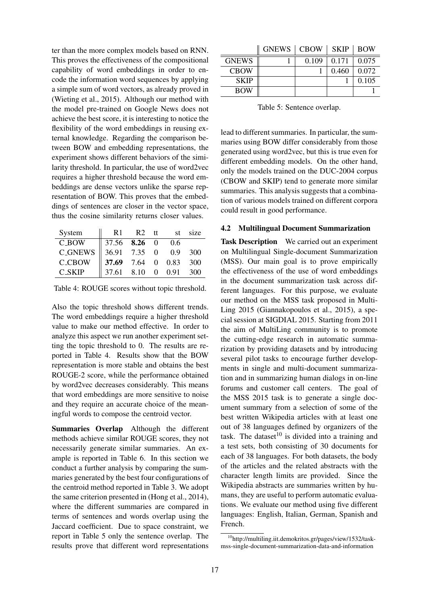ter than the more complex models based on RNN. This proves the effectiveness of the compositional capability of word embeddings in order to encode the information word sequences by applying a simple sum of word vectors, as already proved in (Wieting et al., 2015). Although our method with the model pre-trained on Google News does not achieve the best score, it is interesting to notice the flexibility of the word embeddings in reusing external knowledge. Regarding the comparison between BOW and embedding representations, the experiment shows different behaviors of the similarity threshold. In particular, the use of word2vec requires a higher threshold because the word embeddings are dense vectors unlike the sparse representation of BOW. This proves that the embeddings of sentences are closer in the vector space, thus the cosine similarity returns closer values.

| System                | R1                  | R <sub>2</sub> | tt | st  | size |
|-----------------------|---------------------|----------------|----|-----|------|
| <b>C_BOW</b>          | 37.56 <b>8.26</b> 0 |                |    | 0.6 |      |
| $C$ <sub>-GNEWS</sub> | 36.91 7.35 0        |                |    | 0.9 | 300  |
| <b>C_CBOW</b>         | 37.69 7.64 0 0.83   |                |    |     | 300  |
| <b>C_SKIP</b>         | 37.61 8.10 0 0.91   |                |    |     | 300  |

Table 4: ROUGE scores without topic threshold.

Also the topic threshold shows different trends. The word embeddings require a higher threshold value to make our method effective. In order to analyze this aspect we run another experiment setting the topic threshold to 0. The results are reported in Table 4. Results show that the BOW representation is more stable and obtains the best ROUGE-2 score, while the performance obtained by word2vec decreases considerably. This means that word embeddings are more sensitive to noise and they require an accurate choice of the meaningful words to compose the centroid vector.

Summaries Overlap Although the different methods achieve similar ROUGE scores, they not necessarily generate similar summaries. An example is reported in Table 6. In this section we conduct a further analysis by comparing the summaries generated by the best four configurations of the centroid method reported in Table 3. We adopt the same criterion presented in (Hong et al., 2014), where the different summaries are compared in terms of sentences and words overlap using the Jaccard coefficient. Due to space constraint, we report in Table 5 only the sentence overlap. The results prove that different word representations

|              | GNEWS   CBOW   SKIP   BOW |       |       |       |
|--------------|---------------------------|-------|-------|-------|
| <b>GNEWS</b> |                           | 0.109 | 0.171 | 0.075 |
| <b>CBOW</b>  |                           |       | 0.460 | 0.072 |
| <b>SKIP</b>  |                           |       |       | 0.105 |
| <b>BOW</b>   |                           |       |       |       |

Table 5: Sentence overlap.

lead to different summaries. In particular, the summaries using BOW differ considerably from those generated using word2vec, but this is true even for different embedding models. On the other hand, only the models trained on the DUC-2004 corpus (CBOW and SKIP) tend to generate more similar summaries. This analysis suggests that a combination of various models trained on different corpora could result in good performance.

# 4.2 Multilingual Document Summarization

Task Description We carried out an experiment on Multilingual Single-document Summarization (MSS). Our main goal is to prove empirically the effectiveness of the use of word embeddings in the document summarization task across different languages. For this purpose, we evaluate our method on the MSS task proposed in Multi-Ling 2015 (Giannakopoulos et al., 2015), a special session at SIGDIAL 2015. Starting from 2011 the aim of MultiLing community is to promote the cutting-edge research in automatic summarization by providing datasets and by introducing several pilot tasks to encourage further developments in single and multi-document summarization and in summarizing human dialogs in on-line forums and customer call centers. The goal of the MSS 2015 task is to generate a single document summary from a selection of some of the best written Wikipedia articles with at least one out of 38 languages defined by organizers of the task. The dataset $10$  is divided into a training and a test sets, both consisting of 30 documents for each of 38 languages. For both datasets, the body of the articles and the related abstracts with the character length limits are provided. Since the Wikipedia abstracts are summaries written by humans, they are useful to perform automatic evaluations. We evaluate our method using five different languages: English, Italian, German, Spanish and French.

<sup>10</sup>http://multiling.iit.demokritos.gr/pages/view/1532/taskmss-single-document-summarization-data-and-information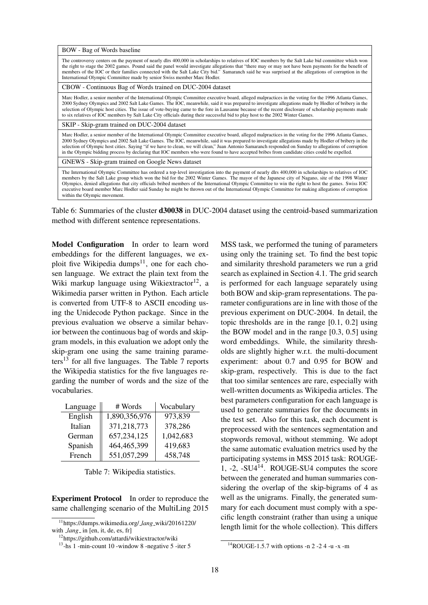BOW - Bag of Words baseline

The controversy centers on the payment of nearly dlrs 400,000 in scholarships to relatives of IOC members by the Salt Lake bid committee which won the right to stage the 2002 games. Pound said the panel would investigate allegations that "there may or may not have been payments for the benefit of members of the IOC or their families connected with the Salt Lake City bid." Samaranch said he was surprised at the allegations of corruption in the International Olympic Committee made by senior Swiss member Marc Hodler.

CBOW - Continuous Bag of Words trained on DUC-2004 dataset

Marc Hodler, a senior member of the International Olympic Committee executive board, alleged malpractices in the voting for the 1996 Atlanta Games,<br>2000 Sydney Olympics and 2002 Salt Lake Games. The IOC, meanwhile, said it selection of Olympic host cities. The issue of vote-buying came to the fore in Lausanne because of the recent disclosure of scholarship payments made to six relatives of IOC members by Salt Lake City officials during their successful bid to play host to the 2002 Winter Games.

SKIP - Skip-gram trained on DUC-2004 dataset

Marc Hodler, a senior member of the International Olympic Committee executive board, alleged malpractices in the voting for the 1996 Atlanta Games, 2000 Sydney Olympics and 2002 Salt Lake Games. The IOC, meanwhile, said it was prepared to investigate allegations made by Hodler of bribery in the selection of Olympic host cities. Saying "if we have to clean, we will clean," Juan Antonio Samaranch responded on Sunday to allegations of corruption in the Olympic bidding process by declaring that IOC members who were found to have accepted bribes from candidate cities could be expelled.

GNEWS - Skip-gram trained on Google News dataset

The International Olympic Committee has ordered a top-level investigation into the payment of nearly dlrs 400,000 in scholarships to relatives of IOC members by the Salt Lake group which won the bid for the 2002 Winter Games. The mayor of the Japanese city of Nagano, site of the 1998 Winter Olympics, denied allegations that city officials bribed members of the International Olympic Committee to win the right to host the games. Swiss IOC executive board member Marc Hodler said Sunday he might be thrown out of the International Olympic Committee for making allegations of corruption within the Olympic movement.

Table 6: Summaries of the cluster d30038 in DUC-2004 dataset using the centroid-based summarization method with different sentence representations.

Model Configuration In order to learn word embeddings for the different languages, we exploit five Wikipedia dumps<sup>11</sup>, one for each chosen language. We extract the plain text from the Wiki markup language using Wikiextractor<sup>12</sup>, a Wikimedia parser written in Python. Each article is converted from UTF-8 to ASCII encoding using the Unidecode Python package. Since in the previous evaluation we observe a similar behavior between the continuous bag of words and skipgram models, in this evaluation we adopt only the skip-gram one using the same training parameters<sup>13</sup> for all five languages. The Table 7 reports the Wikipedia statistics for the five languages regarding the number of words and the size of the vocabularies.

| Language | # Words       | Vocabulary |  |  |
|----------|---------------|------------|--|--|
| English  | 1,890,356,976 | 973,839    |  |  |
| Italian  | 371,218,773   | 378,286    |  |  |
| German   | 657,234,125   | 1,042,683  |  |  |
| Spanish  | 464, 465, 399 | 419,683    |  |  |
| French   | 551,057,299   | 458,748    |  |  |

Table 7: Wikipedia statistics.

Experiment Protocol In order to reproduce the same challenging scenario of the MultiLing 2015

MSS task, we performed the tuning of parameters using only the training set. To find the best topic and similarity threshold parameters we run a grid search as explained in Section 4.1. The grid search is performed for each language separately using both BOW and skip-gram representations. The parameter configurations are in line with those of the previous experiment on DUC-2004. In detail, the topic thresholds are in the range [0.1, 0.2] using the BOW model and in the range [0.3, 0.5] using word embeddings. While, the similarity thresholds are slightly higher w.r.t. the multi-document experiment: about 0.7 and 0.95 for BOW and skip-gram, respectively. This is due to the fact that too similar sentences are rare, especially with well-written documents as Wikipedia articles. The best parameters configuration for each language is used to generate summaries for the documents in the test set. Also for this task, each document is preprocessed with the sentences segmentation and stopwords removal, without stemming. We adopt the same automatic evaluation metrics used by the participating systems in MSS 2015 task: ROUGE-1, -2, -SU414. ROUGE-SU4 computes the score between the generated and human summaries considering the overlap of the skip-bigrams of 4 as well as the unigrams. Finally, the generated summary for each document must comply with a specific length constraint (rather than using a unique length limit for the whole collection). This differs

<sup>11</sup>https://dumps.wikimedia.org/ *lang* wiki/20161220/ with *lang* in [en, it, de, es, fr]

<sup>12</sup>https://github.com/attardi/wikiextractor/wiki

 $13$ -hs 1 -min-count 10 -window 8 -negative 5 -iter 5

<sup>14</sup>ROUGE-1.5.7 with options -n 2 -2 4 -u -x -m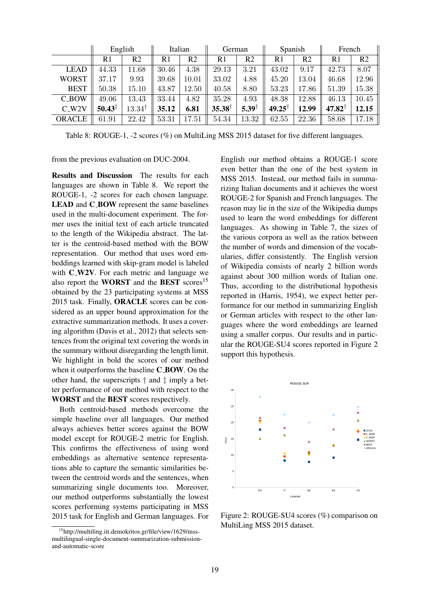|               | English            |                   | Italian |                | German            |                  | Spanish           |                | French            |                |
|---------------|--------------------|-------------------|---------|----------------|-------------------|------------------|-------------------|----------------|-------------------|----------------|
|               | R <sub>1</sub>     | R2                | R1      | R <sub>2</sub> | R <sub>1</sub>    | R <sub>2</sub>   | R <sub>1</sub>    | R <sub>2</sub> | R <sub>1</sub>    | R <sub>2</sub> |
| <b>LEAD</b>   | 44.33              | 11.68             | 30.46   | 4.38           | 29.13             | 3.21             | 43.02             | 9.17           | 42.73             | 8.07           |
| <b>WORST</b>  | 37.17              | 9.93              | 39.68   | $10.01\,$      | 33.02             | 4.88             | 45.20             | 13.04          | 46.68             | 12.96          |
| <b>BEST</b>   | 50.38              | 15.10             | 43.87   | 12.50          | 40.58             | 8.80             | 53.23             | 17.86          | 51.39             | 15.38          |
| <b>C_BOW</b>  | 49.06              | 13.43             | 33.44   | 4.82           | 35.28             | 4.93             | 48.38             | 12.88          | 46.13             | 10.45          |
| $C_W2V$       | $50.43^{\ddagger}$ | $13.34^{\dagger}$ | 35.12   | 6.81           | $35.38^{\dagger}$ | $5.39^{\dagger}$ | $49.25^{\dagger}$ | 12.99          | $47.82^{\dagger}$ | 12.15          |
| <b>ORACLE</b> | 61.91              | 22.42             | 53.31   | $17.51\,$      | 54.34             | 13.32            | 62.55             | 22.36          | 58.68             | 17.18          |

Table 8: ROUGE-1, -2 scores (%) on MultiLing MSS 2015 dataset for five different languages.

from the previous evaluation on DUC-2004.

Results and Discussion The results for each languages are shown in Table 8. We report the ROUGE-1, -2 scores for each chosen language. LEAD and C\_BOW represent the same baselines used in the multi-document experiment. The former uses the initial text of each article truncated to the length of the Wikipedia abstract. The latter is the centroid-based method with the BOW representation. Our method that uses word embeddings learned with skip-gram model is labeled with  $C_{W2}V$ . For each metric and language we also report the **WORST** and the **BEST** scores<sup>15</sup> obtained by the 23 participating systems at MSS 2015 task. Finally, ORACLE scores can be considered as an upper bound approximation for the extractive summarization methods. It uses a covering algorithm (Davis et al., 2012) that selects sentences from the original text covering the words in the summary without disregarding the length limit. We highlight in bold the scores of our method when it outperforms the baseline **C\_BOW**. On the other hand, the superscripts † and ‡ imply a better performance of our method with respect to the WORST and the BEST scores respectively.

Both centroid-based methods overcome the simple baseline over all languages. Our method always achieves better scores against the BOW model except for ROUGE-2 metric for English. This confirms the effectiveness of using word embeddings as alternative sentence representations able to capture the semantic similarities between the centroid words and the sentences, when summarizing single documents too. Moreover, our method outperforms substantially the lowest scores performing systems participating in MSS 2015 task for English and German languages. For English our method obtains a ROUGE-1 score even better than the one of the best system in MSS 2015. Instead, our method fails in summarizing Italian documents and it achieves the worst ROUGE-2 for Spanish and French languages. The reason may lie in the size of the Wikipedia dumps used to learn the word embeddings for different languages. As showing in Table 7, the sizes of the various corpora as well as the ratios between the number of words and dimension of the vocabularies, differ consistently. The English version of Wikipedia consists of nearly 2 billion words against about 300 million words of Italian one. Thus, according to the distributional hypothesis reported in (Harris, 1954), we expect better performance for our method in summarizing English or German articles with respect to the other languages where the word embeddings are learned using a smaller corpus. Our results and in particular the ROUGE-SU4 scores reported in Figure 2 support this hypothesis.



Figure 2: ROUGE-SU4 scores (%) comparison on MultiLing MSS 2015 dataset.

<sup>15</sup>http://multiling.iit.demokritos.gr/file/view/1629/mssmultilingual-single-document-summarization-submissionand-automatic-score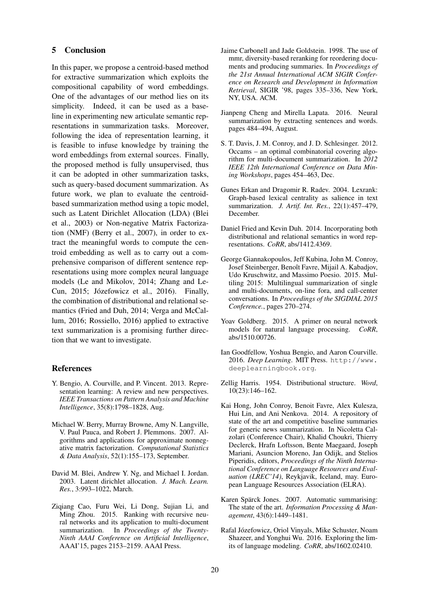### 5 Conclusion

In this paper, we propose a centroid-based method for extractive summarization which exploits the compositional capability of word embeddings. One of the advantages of our method lies on its simplicity. Indeed, it can be used as a baseline in experimenting new articulate semantic representations in summarization tasks. Moreover, following the idea of representation learning, it is feasible to infuse knowledge by training the word embeddings from external sources. Finally, the proposed method is fully unsupervised, thus it can be adopted in other summarization tasks, such as query-based document summarization. As future work, we plan to evaluate the centroidbased summarization method using a topic model, such as Latent Dirichlet Allocation (LDA) (Blei et al., 2003) or Non-negative Matrix Factorization (NMF) (Berry et al., 2007), in order to extract the meaningful words to compute the centroid embedding as well as to carry out a comprehensive comparison of different sentence representations using more complex neural language models (Le and Mikolov, 2014; Zhang and Le-Cun, 2015; Józefowicz et al., 2016). Finally, the combination of distributional and relational semantics (Fried and Duh, 2014; Verga and McCallum, 2016; Rossiello, 2016) applied to extractive text summarization is a promising further direction that we want to investigate.

### References

- Y. Bengio, A. Courville, and P. Vincent. 2013. Representation learning: A review and new perspectives. *IEEE Transactions on Pattern Analysis and Machine Intelligence*, 35(8):1798–1828, Aug.
- Michael W. Berry, Murray Browne, Amy N. Langville, V. Paul Pauca, and Robert J. Plemmons. 2007. Algorithms and applications for approximate nonnegative matrix factorization. *Computational Statistics & Data Analysis*, 52(1):155–173, September.
- David M. Blei, Andrew Y. Ng, and Michael I. Jordan. 2003. Latent dirichlet allocation. *J. Mach. Learn. Res.*, 3:993–1022, March.
- Ziqiang Cao, Furu Wei, Li Dong, Sujian Li, and Ming Zhou. 2015. Ranking with recursive neural networks and its application to multi-document summarization. In *Proceedings of the Twenty-Ninth AAAI Conference on Artificial Intelligence*, AAAI'15, pages 2153–2159. AAAI Press.
- Jaime Carbonell and Jade Goldstein. 1998. The use of mmr, diversity-based reranking for reordering documents and producing summaries. In *Proceedings of the 21st Annual International ACM SIGIR Conference on Research and Development in Information Retrieval*, SIGIR '98, pages 335–336, New York, NY, USA. ACM.
- Jianpeng Cheng and Mirella Lapata. 2016. Neural summarization by extracting sentences and words. pages 484–494, August.
- S. T. Davis, J. M. Conroy, and J. D. Schlesinger. 2012. Occams – an optimal combinatorial covering algorithm for multi-document summarization. In *2012 IEEE 12th International Conference on Data Mining Workshops*, pages 454–463, Dec.
- Gunes Erkan and Dragomir R. Radev. 2004. Lexrank: Graph-based lexical centrality as salience in text summarization. *J. Artif. Int. Res.*, 22(1):457–479, December.
- Daniel Fried and Kevin Duh. 2014. Incorporating both distributional and relational semantics in word representations. *CoRR*, abs/1412.4369.
- George Giannakopoulos, Jeff Kubina, John M. Conroy, Josef Steinberger, Benoît Favre, Mijail A. Kabadjov, Udo Kruschwitz, and Massimo Poesio. 2015. Multiling 2015: Multilingual summarization of single and multi-documents, on-line fora, and call-center conversations. In *Proceedings of the SIGDIAL 2015 Conference.*, pages 270–274.
- Yoav Goldberg. 2015. A primer on neural network models for natural language processing. *CoRR*, abs/1510.00726.
- Ian Goodfellow, Yoshua Bengio, and Aaron Courville. 2016. *Deep Learning*. MIT Press. http://www. deeplearningbook.org.
- Zellig Harris. 1954. Distributional structure. *Word*, 10(23):146–162.
- Kai Hong, John Conroy, Benoit Favre, Alex Kulesza, Hui Lin, and Ani Nenkova. 2014. A repository of state of the art and competitive baseline summaries for generic news summarization. In Nicoletta Calzolari (Conference Chair), Khalid Choukri, Thierry Declerck, Hrafn Loftsson, Bente Maegaard, Joseph Mariani, Asuncion Moreno, Jan Odijk, and Stelios Piperidis, editors, *Proceedings of the Ninth International Conference on Language Resources and Evaluation (LREC'14)*, Reykjavik, Iceland, may. European Language Resources Association (ELRA).
- Karen Spärck Jones. 2007. Automatic summarising: The state of the art. *Information Processing & Management*, 43(6):1449–1481.
- Rafal Józefowicz, Oriol Vinyals, Mike Schuster, Noam Shazeer, and Yonghui Wu. 2016. Exploring the limits of language modeling. *CoRR*, abs/1602.02410.